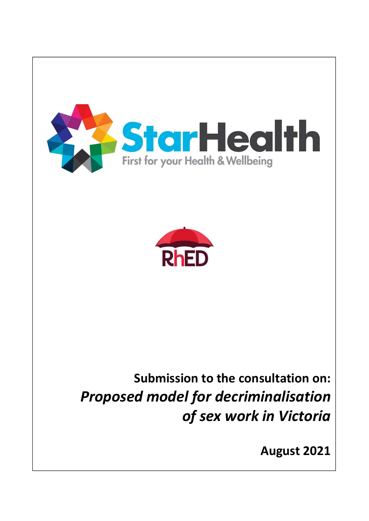



# Submission to the consultation on: Proposed model for decriminalisation of sex work in Victoria

August 2021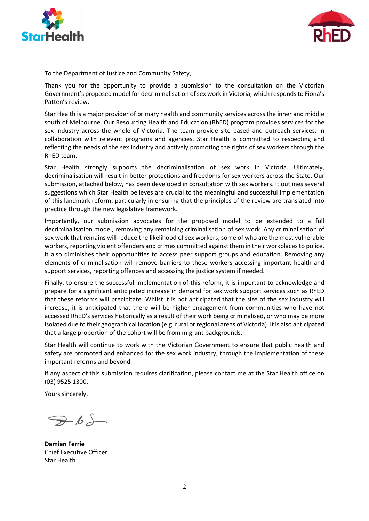



To the Department of Justice and Community Safety,

Thank you for the opportunity to provide a submission to the consultation on the Victorian Government's proposed model for decriminalisation of sex work in Victoria, which responds to Fiona's Patten's review.

Star Health is a major provider of primary health and community services across the inner and middle south of Melbourne. Our Resourcing Health and Education (RhED) program provides services for the sex industry across the whole of Victoria. The team provide site based and outreach services, in collaboration with relevant programs and agencies. Star Health is committed to respecting and reflecting the needs of the sex industry and actively promoting the rights of sex workers through the RhED team.

Star Health strongly supports the decriminalisation of sex work in Victoria. Ultimately, decriminalisation will result in better protections and freedoms for sex workers across the State. Our submission, attached below, has been developed in consultation with sex workers. It outlines several suggestions which Star Health believes are crucial to the meaningful and successful implementation of this landmark reform, particularly in ensuring that the principles of the review are translated into practice through the new legislative framework.

Importantly, our submission advocates for the proposed model to be extended to a full decriminalisation model, removing any remaining criminalisation of sex work. Any criminalisation of sex work that remains will reduce the likelihood of sex workers, some of who are the most vulnerable workers, reporting violent offenders and crimes committed against them in their workplaces to police. It also diminishes their opportunities to access peer support groups and education. Removing any elements of criminalisation will remove barriers to these workers accessing important health and support services, reporting offences and accessing the justice system if needed.

Finally, to ensure the successful implementation of this reform, it is important to acknowledge and prepare for a significant anticipated increase in demand for sex work support services such as RhED that these reforms will precipitate. Whilst it is not anticipated that the size of the sex industry will increase, it is anticipated that there will be higher engagement from communities who have not accessed RhED's services historically as a result of their work being criminalised, or who may be more isolated due to their geographical location (e.g. rural or regional areas of Victoria). It is also anticipated that a large proportion of the cohort will be from migrant backgrounds.

Star Health will continue to work with the Victorian Government to ensure that public health and safety are promoted and enhanced for the sex work industry, through the implementation of these important reforms and beyond.

If any aspect of this submission requires clarification, please contact me at the Star Health office on (03) 9525 1300.

Yours sincerely,

 $765$ 

Damian Ferrie Chief Executive Officer Star Health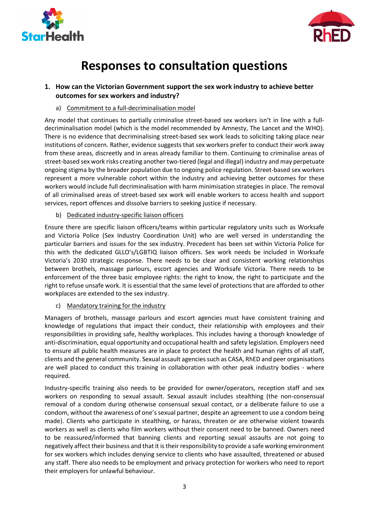



# Responses to consultation questions

# 1. How can the Victorian Government support the sex work industry to achieve better outcomes for sex workers and industry?

a) Commitment to a full-decriminalisation model

Any model that continues to partially criminalise street-based sex workers isn't in line with a fulldecriminalisation model (which is the model recommended by Amnesty, The Lancet and the WHO). There is no evidence that decriminalising street-based sex work leads to soliciting taking place near institutions of concern. Rather, evidence suggests that sex workers prefer to conduct their work away from these areas, discreetly and in areas already familiar to them. Continuing to criminalise areas of street-based sex work risks creating another two-tiered (legal and illegal) industry and may perpetuate ongoing stigma by the broader population due to ongoing police regulation. Street-based sex workers represent a more vulnerable cohort within the industry and achieving better outcomes for these workers would include full decriminalisation with harm minimisation strategies in place. The removal of all criminalised areas of street-based sex work will enable workers to access health and support services, report offences and dissolve barriers to seeking justice if necessary.

b) Dedicated industry-specific liaison officers

Ensure there are specific liaison officers/teams within particular regulatory units such as Worksafe and Victoria Police (Sex Industry Coordination Unit) who are well versed in understanding the particular barriers and issues for the sex industry. Precedent has been set within Victoria Police for this with the dedicated GLLO's/LGBTIQ liaison officers. Sex work needs be included in Worksafe Victoria's 2030 strategic response. There needs to be clear and consistent working relationships between brothels, massage parlours, escort agencies and Worksafe Victoria. There needs to be enforcement of the three basic employee rights: the right to know, the right to participate and the right to refuse unsafe work. It is essential that the same level of protections that are afforded to other workplaces are extended to the sex industry.

c) Mandatory training for the industry

Managers of brothels, massage parlours and escort agencies must have consistent training and knowledge of regulations that impact their conduct, their relationship with employees and their responsibilities in providing safe, healthy workplaces. This includes having a thorough knowledge of anti-discrimination, equal opportunity and occupational health and safety legislation. Employers need to ensure all public health measures are in place to protect the health and human rights of all staff, clients and the general community. Sexual assault agencies such as CASA, RhED and peer organisations are well placed to conduct this training in collaboration with other peak industry bodies - where required.

Industry-specific training also needs to be provided for owner/operators, reception staff and sex workers on responding to sexual assault. Sexual assault includes stealthing (the non-consensual removal of a condom during otherwise consensual sexual contact, or a deliberate failure to use a condom, without the awareness of one's sexual partner, despite an agreement to use a condom being made). Clients who participate in stealthing, or harass, threaten or are otherwise violent towards workers as well as clients who film workers without their consent need to be banned. Owners need to be reassured/informed that banning clients and reporting sexual assaults are not going to negatively affect their business and that it is their responsibility to provide a safe working environment for sex workers which includes denying service to clients who have assaulted, threatened or abused any staff. There also needs to be employment and privacy protection for workers who need to report their employers for unlawful behaviour.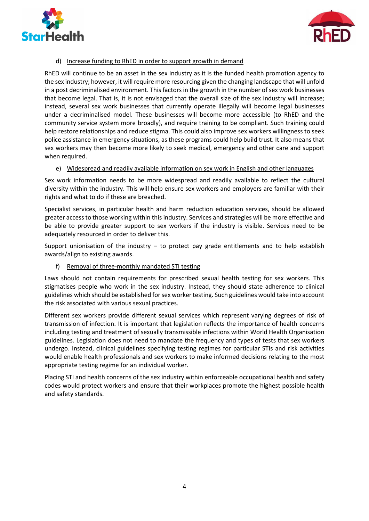



#### d) Increase funding to RhED in order to support growth in demand

RhED will continue to be an asset in the sex industry as it is the funded health promotion agency to the sex industry; however, it will require more resourcing given the changing landscape that will unfold in a post decriminalised environment. This factors in the growth in the number of sex work businesses that become legal. That is, it is not envisaged that the overall size of the sex industry will increase; instead, several sex work businesses that currently operate illegally will become legal businesses under a decriminalised model. These businesses will become more accessible (to RhED and the community service system more broadly), and require training to be compliant. Such training could help restore relationships and reduce stigma. This could also improve sex workers willingness to seek police assistance in emergency situations, as these programs could help build trust. It also means that sex workers may then become more likely to seek medical, emergency and other care and support when required.

#### e) Widespread and readily available information on sex work in English and other languages

Sex work information needs to be more widespread and readily available to reflect the cultural diversity within the industry. This will help ensure sex workers and employers are familiar with their rights and what to do if these are breached.

Specialist services, in particular health and harm reduction education services, should be allowed greater access to those working within this industry. Services and strategies will be more effective and be able to provide greater support to sex workers if the industry is visible. Services need to be adequately resourced in order to deliver this.

Support unionisation of the industry  $-$  to protect pay grade entitlements and to help establish awards/align to existing awards.

#### f) Removal of three-monthly mandated STI testing

Laws should not contain requirements for prescribed sexual health testing for sex workers. This stigmatises people who work in the sex industry. Instead, they should state adherence to clinical guidelines which should be established for sex worker testing. Such guidelines would take into account the risk associated with various sexual practices.

Different sex workers provide different sexual services which represent varying degrees of risk of transmission of infection. It is important that legislation reflects the importance of health concerns including testing and treatment of sexually transmissible infections within World Health Organisation guidelines. Legislation does not need to mandate the frequency and types of tests that sex workers undergo. Instead, clinical guidelines specifying testing regimes for particular STIs and risk activities would enable health professionals and sex workers to make informed decisions relating to the most appropriate testing regime for an individual worker.

Placing STI and health concerns of the sex industry within enforceable occupational health and safety codes would protect workers and ensure that their workplaces promote the highest possible health and safety standards.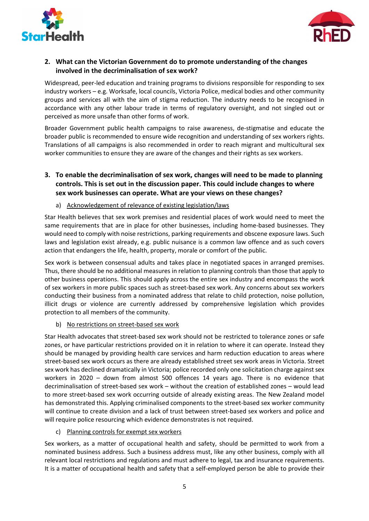



# 2. What can the Victorian Government do to promote understanding of the changes involved in the decriminalisation of sex work?

Widespread, peer-led education and training programs to divisions responsible for responding to sex industry workers – e.g. Worksafe, local councils, Victoria Police, medical bodies and other community groups and services all with the aim of stigma reduction. The industry needs to be recognised in accordance with any other labour trade in terms of regulatory oversight, and not singled out or perceived as more unsafe than other forms of work.

Broader Government public health campaigns to raise awareness, de-stigmatise and educate the broader public is recommended to ensure wide recognition and understanding of sex workers rights. Translations of all campaigns is also recommended in order to reach migrant and multicultural sex worker communities to ensure they are aware of the changes and their rights as sex workers.

# 3. To enable the decriminalisation of sex work, changes will need to be made to planning controls. This is set out in the discussion paper. This could include changes to where sex work businesses can operate. What are your views on these changes?

#### a) Acknowledgement of relevance of existing legislation/laws

Star Health believes that sex work premises and residential places of work would need to meet the same requirements that are in place for other businesses, including home-based businesses. They would need to comply with noise restrictions, parking requirements and obscene exposure laws. Such laws and legislation exist already, e.g. public nuisance is a common law offence and as such covers action that endangers the life, health, property, morale or comfort of the public.

Sex work is between consensual adults and takes place in negotiated spaces in arranged premises. Thus, there should be no additional measures in relation to planning controls than those that apply to other business operations. This should apply across the entire sex industry and encompass the work of sex workers in more public spaces such as street-based sex work. Any concerns about sex workers conducting their business from a nominated address that relate to child protection, noise pollution, illicit drugs or violence are currently addressed by comprehensive legislation which provides protection to all members of the community.

#### b) No restrictions on street-based sex work

Star Health advocates that street-based sex work should not be restricted to tolerance zones or safe zones, or have particular restrictions provided on it in relation to where it can operate. Instead they should be managed by providing health care services and harm reduction education to areas where street-based sex work occurs as there are already established street sex work areas in Victoria. Street sex work has declined dramatically in Victoria; police recorded only one solicitation charge against sex workers in 2020 – down from almost 500 offences 14 years ago. There is no evidence that decriminalisation of street-based sex work – without the creation of established zones – would lead to more street-based sex work occurring outside of already existing areas. The New Zealand model has demonstrated this. Applying criminalised components to the street-based sex worker community will continue to create division and a lack of trust between street-based sex workers and police and will require police resourcing which evidence demonstrates is not required.

#### c) Planning controls for exempt sex workers

Sex workers, as a matter of occupational health and safety, should be permitted to work from a nominated business address. Such a business address must, like any other business, comply with all relevant local restrictions and regulations and must adhere to legal, tax and insurance requirements. It is a matter of occupational health and safety that a self-employed person be able to provide their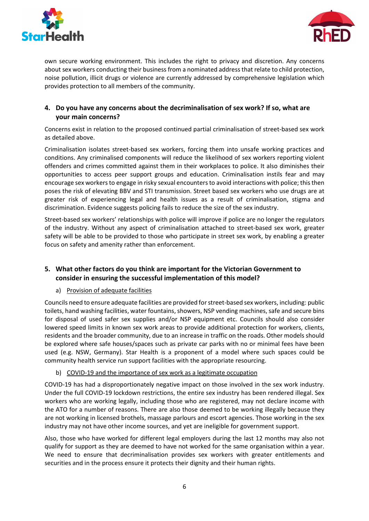



own secure working environment. This includes the right to privacy and discretion. Any concerns about sex workers conducting their business from a nominated address that relate to child protection, noise pollution, illicit drugs or violence are currently addressed by comprehensive legislation which provides protection to all members of the community.

### 4. Do you have any concerns about the decriminalisation of sex work? If so, what are your main concerns?

Concerns exist in relation to the proposed continued partial criminalisation of street-based sex work as detailed above.

Criminalisation isolates street-based sex workers, forcing them into unsafe working practices and conditions. Any criminalised components will reduce the likelihood of sex workers reporting violent offenders and crimes committed against them in their workplaces to police. It also diminishes their opportunities to access peer support groups and education. Criminalisation instils fear and may encourage sex workers to engage in risky sexual encounters to avoid interactions with police; this then poses the risk of elevating BBV and STI transmission. Street based sex workers who use drugs are at greater risk of experiencing legal and health issues as a result of criminalisation, stigma and discrimination. Evidence suggests policing fails to reduce the size of the sex industry.

Street-based sex workers' relationships with police will improve if police are no longer the regulators of the industry. Without any aspect of criminalisation attached to street-based sex work, greater safety will be able to be provided to those who participate in street sex work, by enabling a greater focus on safety and amenity rather than enforcement.

# 5. What other factors do you think are important for the Victorian Government to consider in ensuring the successful implementation of this model?

#### a) Provision of adequate facilities

Councils need to ensure adequate facilities are provided for street-based sex workers, including: public toilets, hand washing facilities, water fountains, showers, NSP vending machines, safe and secure bins for disposal of used safer sex supplies and/or NSP equipment etc. Councils should also consider lowered speed limits in known sex work areas to provide additional protection for workers, clients, residents and the broader community, due to an increase in traffic on the roads. Other models should be explored where safe houses/spaces such as private car parks with no or minimal fees have been used (e.g. NSW, Germany). Star Health is a proponent of a model where such spaces could be community health service run support facilities with the appropriate resourcing.

#### b) COVID-19 and the importance of sex work as a legitimate occupation

COVID-19 has had a disproportionately negative impact on those involved in the sex work industry. Under the full COVID-19 lockdown restrictions, the entire sex industry has been rendered illegal. Sex workers who are working legally, including those who are registered, may not declare income with the ATO for a number of reasons. There are also those deemed to be working illegally because they are not working in licensed brothels, massage parlours and escort agencies. Those working in the sex industry may not have other income sources, and yet are ineligible for government support.

Also, those who have worked for different legal employers during the last 12 months may also not qualify for support as they are deemed to have not worked for the same organisation within a year. We need to ensure that decriminalisation provides sex workers with greater entitlements and securities and in the process ensure it protects their dignity and their human rights.